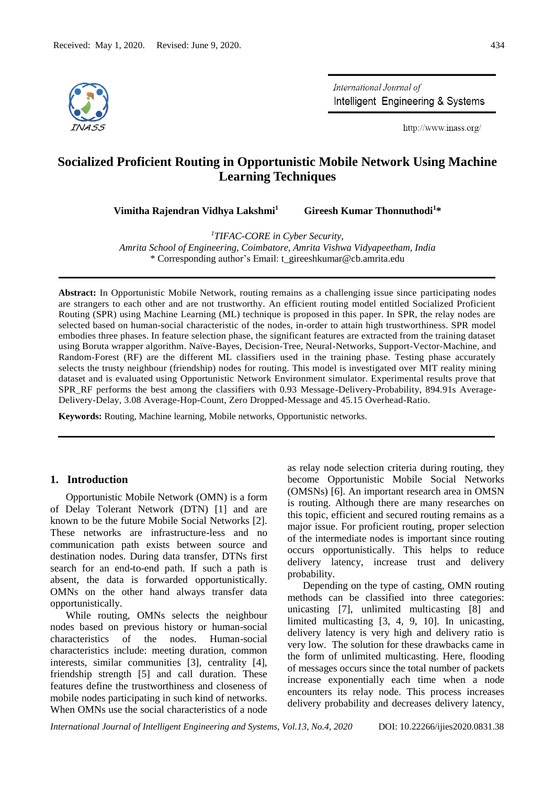

International Journal of Intelligent Engineering & Systems

http://www.inass.org/

# **Socialized Proficient Routing in Opportunistic Mobile Network Using Machine Learning Techniques**

**Vimitha Rajendran Vidhya Lakshmi<sup>1</sup>**

 **Gireesh Kumar Thonnuthodi<sup>1</sup>\***

*<sup>1</sup>TIFAC-CORE in Cyber Security,* 

*Amrita School of Engineering, Coimbatore, Amrita Vishwa Vidyapeetham, India* \* Corresponding author's Email: t\_gireeshkumar@cb.amrita.edu

**Abstract:** In Opportunistic Mobile Network, routing remains as a challenging issue since participating nodes are strangers to each other and are not trustworthy. An efficient routing model entitled Socialized Proficient Routing (SPR) using Machine Learning (ML) technique is proposed in this paper. In SPR, the relay nodes are selected based on human-social characteristic of the nodes, in-order to attain high trustworthiness. SPR model embodies three phases. In feature selection phase, the significant features are extracted from the training dataset using Boruta wrapper algorithm. Naïve-Bayes, Decision-Tree, Neural-Networks, Support-Vector-Machine, and Random-Forest (RF) are the different ML classifiers used in the training phase. Testing phase accurately selects the trusty neighbour (friendship) nodes for routing. This model is investigated over MIT reality mining dataset and is evaluated using Opportunistic Network Environment simulator. Experimental results prove that SPR RF performs the best among the classifiers with 0.93 Message-Delivery-Probability, 894.91s Average-Delivery-Delay, 3.08 Average-Hop-Count, Zero Dropped-Message and 45.15 Overhead-Ratio.

**Keywords:** Routing, Machine learning, Mobile networks, Opportunistic networks.

# **1. Introduction**

Opportunistic Mobile Network (OMN) is a form of Delay Tolerant Network (DTN) [1] and are known to be the future Mobile Social Networks [2]. These networks are infrastructure-less and no communication path exists between source and destination nodes. During data transfer, DTNs first search for an end-to-end path. If such a path is absent, the data is forwarded opportunistically. OMNs on the other hand always transfer data opportunistically.

While routing, OMNs selects the neighbour nodes based on previous history or human-social characteristics of the nodes. Human-social characteristics include: meeting duration, common interests, similar communities [3], centrality [4], friendship strength [5] and call duration. These features define the trustworthiness and closeness of mobile nodes participating in such kind of networks. When OMNs use the social characteristics of a node

as relay node selection criteria during routing, they become Opportunistic Mobile Social Networks (OMSNs) [6]. An important research area in OMSN is routing. Although there are many researches on this topic, efficient and secured routing remains as a major issue. For proficient routing, proper selection of the intermediate nodes is important since routing occurs opportunistically. This helps to reduce delivery latency, increase trust and delivery probability.

Depending on the type of casting, OMN routing methods can be classified into three categories: unicasting [7], unlimited multicasting [8] and limited multicasting [3, 4, 9, 10]. In unicasting, delivery latency is very high and delivery ratio is very low. The solution for these drawbacks came in the form of unlimited multicasting. Here, flooding of messages occurs since the total number of packets increase exponentially each time when a node encounters its relay node. This process increases delivery probability and decreases delivery latency,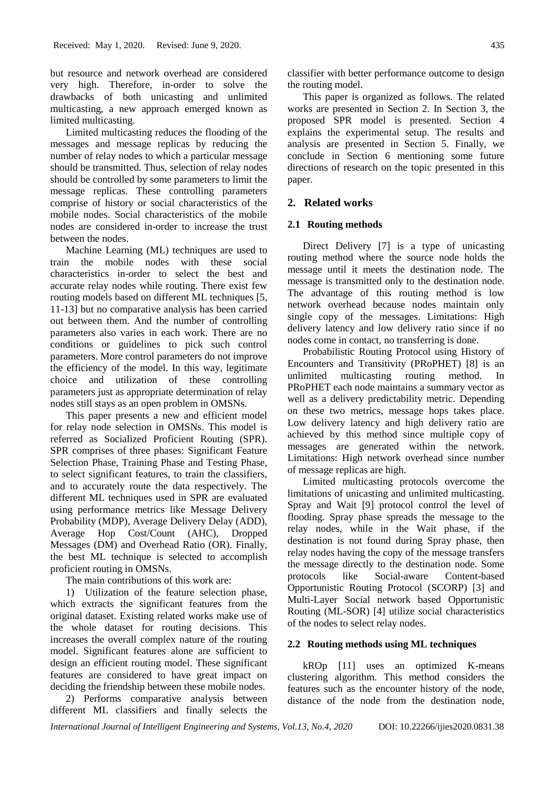but resource and network overhead are considered very high. Therefore, in-order to solve the drawbacks of both unicasting and unlimited multicasting, a new approach emerged known as limited multicasting.

Limited multicasting reduces the flooding of the messages and message replicas by reducing the number of relay nodes to which a particular message should be transmitted. Thus, selection of relay nodes should be controlled by some parameters to limit the message replicas. These controlling parameters comprise of history or social characteristics of the mobile nodes. Social characteristics of the mobile nodes are considered in-order to increase the trust between the nodes.

Machine Learning (ML) techniques are used to train the mobile nodes with these social characteristics in-order to select the best and accurate relay nodes while routing. There exist few routing models based on different ML techniques [5, 11-13] but no comparative analysis has been carried out between them. And the number of controlling parameters also varies in each work. There are no conditions or guidelines to pick such control parameters. More control parameters do not improve the efficiency of the model. In this way, legitimate choice and utilization of these controlling parameters just as appropriate determination of relay nodes still stays as an open problem in OMSNs.

This paper presents a new and efficient model for relay node selection in OMSNs. This model is referred as Socialized Proficient Routing (SPR). SPR comprises of three phases: Significant Feature Selection Phase, Training Phase and Testing Phase, to select significant features, to train the classifiers, and to accurately route the data respectively. The different ML techniques used in SPR are evaluated using performance metrics like Message Delivery Probability (MDP), Average Delivery Delay (ADD), Average Hop Cost/Count (AHC), Dropped Messages (DM) and Overhead Ratio (OR). Finally, the best ML technique is selected to accomplish proficient routing in OMSNs.

The main contributions of this work are:

1) Utilization of the feature selection phase, which extracts the significant features from the original dataset. Existing related works make use of the whole dataset for routing decisions. This increases the overall complex nature of the routing model. Significant features alone are sufficient to design an efficient routing model. These significant features are considered to have great impact on deciding the friendship between these mobile nodes.

2) Performs comparative analysis between different ML classifiers and finally selects the

This paper is organized as follows. The related works are presented in Section 2. In Section 3, the proposed SPR model is presented. Section 4 explains the experimental setup. The results and analysis are presented in Section 5. Finally, we conclude in Section 6 mentioning some future directions of research on the topic presented in this paper.

# **2. Related works**

# **2.1 Routing methods**

Direct Delivery [7] is a type of unicasting routing method where the source node holds the message until it meets the destination node. The message is transmitted only to the destination node. The advantage of this routing method is low network overhead because nodes maintain only single copy of the messages. Limitations: High delivery latency and low delivery ratio since if no nodes come in contact, no transferring is done.

Probabilistic Routing Protocol using History of Encounters and Transitivity (PRoPHET) [8] is an unlimited multicasting routing method. In PRoPHET each node maintains a summary vector as well as a delivery predictability metric. Depending on these two metrics, message hops takes place. Low delivery latency and high delivery ratio are achieved by this method since multiple copy of messages are generated within the network. Limitations: High network overhead since number of message replicas are high.

Limited multicasting protocols overcome the limitations of unicasting and unlimited multicasting. Spray and Wait [9] protocol control the level of flooding. Spray phase spreads the message to the relay nodes, while in the Wait phase, if the destination is not found during Spray phase, then relay nodes having the copy of the message transfers the message directly to the destination node. Some protocols like Social-aware Content-based Opportunistic Routing Protocol (SCORP) [3] and Multi-Layer Social network based Opportunistic Routing (ML-SOR) [4] utilize social characteristics of the nodes to select relay nodes.

# **2.2 Routing methods using ML techniques**

kROp [11] uses an optimized K-means clustering algorithm. This method considers the features such as the encounter history of the node, distance of the node from the destination node,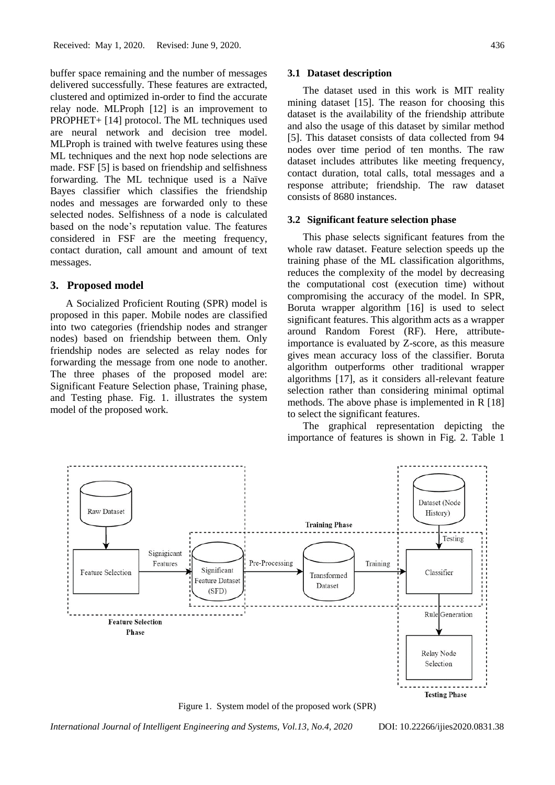buffer space remaining and the number of messages delivered successfully. These features are extracted, clustered and optimized in-order to find the accurate relay node. MLProph [12] is an improvement to PROPHET+ [14] protocol. The ML techniques used are neural network and decision tree model. MLProph is trained with twelve features using these ML techniques and the next hop node selections are made. FSF [5] is based on friendship and selfishness forwarding. The ML technique used is a Naïve Bayes classifier which classifies the friendship nodes and messages are forwarded only to these selected nodes. Selfishness of a node is calculated based on the node's reputation value. The features considered in FSF are the meeting frequency, contact duration, call amount and amount of text messages.

#### **3. Proposed model**

A Socialized Proficient Routing (SPR) model is proposed in this paper. Mobile nodes are classified into two categories (friendship nodes and stranger nodes) based on friendship between them. Only friendship nodes are selected as relay nodes for forwarding the message from one node to another. The three phases of the proposed model are: Significant Feature Selection phase, Training phase, and Testing phase. Fig. 1. illustrates the system model of the proposed work.

#### **3.1 Dataset description**

The dataset used in this work is MIT reality mining dataset [15]. The reason for choosing this dataset is the availability of the friendship attribute and also the usage of this dataset by similar method [5]. This dataset consists of data collected from 94 nodes over time period of ten months. The raw dataset includes attributes like meeting frequency, contact duration, total calls, total messages and a response attribute; friendship. The raw dataset consists of 8680 instances.

#### **3.2 Significant feature selection phase**

This phase selects significant features from the whole raw dataset. Feature selection speeds up the training phase of the ML classification algorithms, reduces the complexity of the model by decreasing the computational cost (execution time) without compromising the accuracy of the model. In SPR, Boruta wrapper algorithm [16] is used to select significant features. This algorithm acts as a wrapper around Random Forest (RF). Here, attributeimportance is evaluated by Z-score, as this measure gives mean accuracy loss of the classifier. Boruta algorithm outperforms other traditional wrapper algorithms [17], as it considers all-relevant feature selection rather than considering minimal optimal methods. The above phase is implemented in R [18] to select the significant features.

The graphical representation depicting the importance of features is shown in Fig. 2. Table 1



Figure 1. System model of the proposed work (SPR)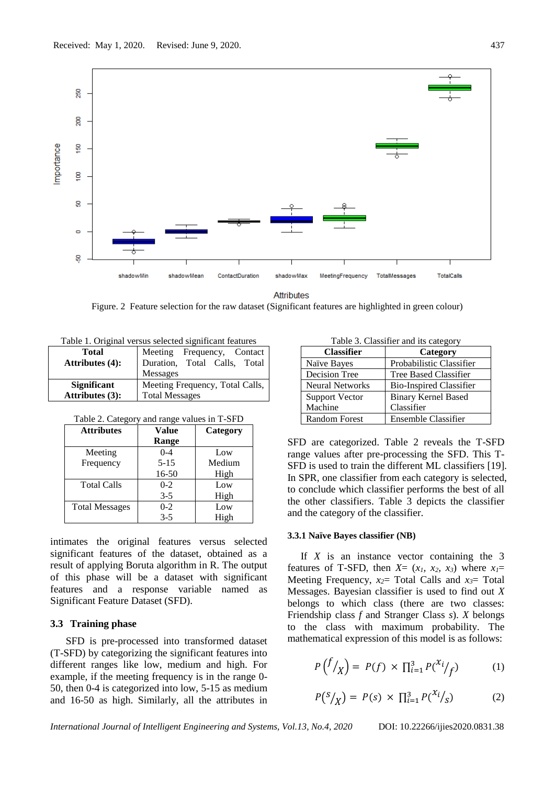

**Attributes** 

Figure. 2 Feature selection for the raw dataset (Significant features are highlighted in green colour)

| Table 1. Offginal versus sciected significant features |                                 |  |  |  |  |
|--------------------------------------------------------|---------------------------------|--|--|--|--|
| <b>Total</b>                                           | Meeting Frequency, Contact      |  |  |  |  |
| <b>Attributes (4):</b>                                 | Duration, Total Calls, Total    |  |  |  |  |
|                                                        | Messages                        |  |  |  |  |
| <b>Significant</b>                                     | Meeting Frequency, Total Calls, |  |  |  |  |
| Attributes $(3)$ :                                     | <b>Total Messages</b>           |  |  |  |  |

Table 1. Original versus selected significant features

| Table 2. Category and range values in T-SFD |  |  |  |  |  |  |  |  |
|---------------------------------------------|--|--|--|--|--|--|--|--|
|---------------------------------------------|--|--|--|--|--|--|--|--|

| <b>Attributes</b>     | Value    | Category |  |  |
|-----------------------|----------|----------|--|--|
|                       | Range    |          |  |  |
| Meeting               | $0 - 4$  | Low      |  |  |
| Frequency             | $5 - 15$ | Medium   |  |  |
|                       | 16-50    | High     |  |  |
| <b>Total Calls</b>    | $0 - 2$  | Low      |  |  |
|                       | $3 - 5$  | High     |  |  |
| <b>Total Messages</b> | $0 - 2$  | Low      |  |  |
|                       | $3 - 5$  | High     |  |  |

intimates the original features versus selected significant features of the dataset, obtained as a result of applying Boruta algorithm in R. The output of this phase will be a dataset with significant features and a response variable named as Significant Feature Dataset (SFD).

#### **3.3 Training phase**

SFD is pre-processed into transformed dataset (T-SFD) by categorizing the significant features into different ranges like low, medium and high. For example, if the meeting frequency is in the range 0- 50, then 0-4 is categorized into low, 5-15 as medium and 16-50 as high. Similarly, all the attributes in

Table 3. Classifier and its category

| <b>Classifier</b>      | Category                       |  |  |
|------------------------|--------------------------------|--|--|
| Naïve Bayes            | Probabilistic Classifier       |  |  |
| <b>Decision Tree</b>   | Tree Based Classifier          |  |  |
| <b>Neural Networks</b> | <b>Bio-Inspired Classifier</b> |  |  |
| <b>Support Vector</b>  | <b>Binary Kernel Based</b>     |  |  |
| Machine                | Classifier                     |  |  |
| <b>Random Forest</b>   | Ensemble Classifier            |  |  |

SFD are categorized. Table 2 reveals the T-SFD range values after pre-processing the SFD. This T-SFD is used to train the different ML classifiers [19]. In SPR, one classifier from each category is selected, to conclude which classifier performs the best of all the other classifiers. Table 3 depicts the classifier and the category of the classifier.

#### **3.3.1 Naïve Bayes classifier (NB)**

If *X* is an instance vector containing the 3 features of T-SFD, then  $X = (x_1, x_2, x_3)$  where  $x_1 =$ Meeting Frequency,  $x_2$ = Total Calls and  $x_3$ = Total Messages. Bayesian classifier is used to find out *X* belongs to which class (there are two classes: Friendship class *f* and Stranger Class *s*). *X* belongs to the class with maximum probability. The mathematical expression of this model is as follows:

$$
P\left(\frac{f}{X}\right) = P(f) \times \prod_{i=1}^{3} P\left(\frac{x_i}{f}\right) \tag{1}
$$

$$
P(S/\chi) = P(s) \times \prod_{i=1}^{3} P({x_i/\chi}) \tag{2}
$$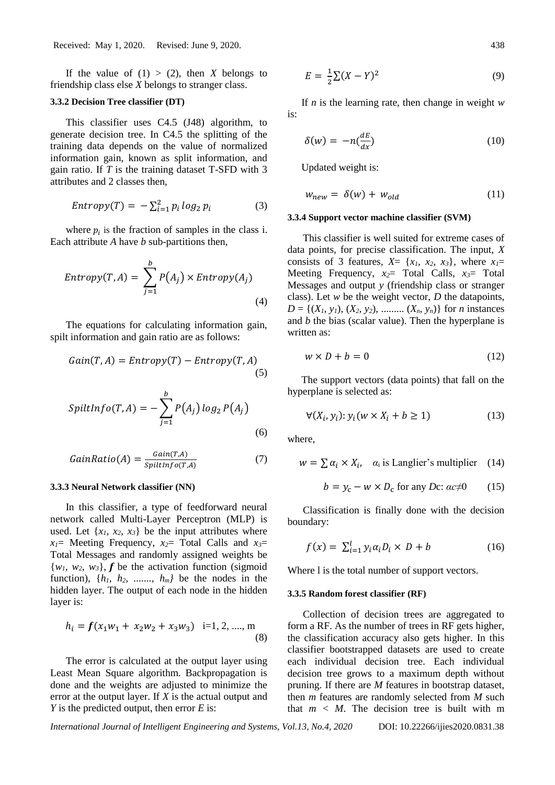If the value of  $(1) > (2)$ , then *X* belongs to friendship class else *X* belongs to stranger class.

#### **3.3.2 Decision Tree classifier (DT)**

This classifier uses C4.5 (J48) algorithm, to generate decision tree. In C4.5 the splitting of the training data depends on the value of normalized information gain, known as split information, and gain ratio. If *T* is the training dataset T-SFD with 3 attributes and 2 classes then,

$$
Entropy(T) = -\sum_{i=1}^{2} p_i \log_2 p_i \tag{3}
$$

where  $p_i$  is the fraction of samples in the class i. Each attribute *A* have *b* sub-partitions then,

$$
Entropy(T, A) = \sum_{j=1}^{b} P(A_j) \times Entropy(A_j)
$$
\n(4)

The equations for calculating information gain, spilt information and gain ratio are as follows:

$$
Gain(T, A) = Entropy(T) - Entropy(T, A)
$$
\n(5)

$$
SplitInfo(T, A) = -\sum_{j=1}^{b} P(A_j) log_2 P(A_j)
$$
\n(6)

$$
GainRatio(A) = \frac{Gain(T, A)}{SplitInfo(T, A)}
$$
(7)

#### **3.3.3 Neural Network classifier (NN)**

In this classifier, a type of feedforward neural network called Multi-Layer Perceptron (MLP) is used. Let  $\{x_1, x_2, x_3\}$  be the input attributes where *x1*= Meeting Frequency, *x2*= Total Calls and *x3*= Total Messages and randomly assigned weights be  $\{w_1, w_2, w_3\}$ , **f** be the activation function (sigmoid) function),  $\{h_1, h_2, \ldots, h_m\}$  be the nodes in the hidden layer. The output of each node in the hidden layer is:

$$
h_i = f(x_1 w_1 + x_2 w_2 + x_3 w_3) \quad \text{i=1, 2, \dots, m} \tag{8}
$$

The error is calculated at the output layer using Least Mean Square algorithm. Backpropagation is done and the weights are adjusted to minimize the error at the output layer. If *X* is the actual output and *Y* is the predicted output, then error *E* is:

$$
E = \frac{1}{2}\sum (X - Y)^2
$$
\n(9)

If *n* is the learning rate, then change in weight *w* is:

$$
\delta(w) = -n\left(\frac{dE}{dx}\right) \tag{10}
$$

Updated weight is:

$$
w_{new} = \delta(w) + w_{old} \tag{11}
$$

#### **3.3.4 Support vector machine classifier (SVM)**

This classifier is well suited for extreme cases of data points, for precise classification. The input, *X* consists of 3 features,  $X = \{x_1, x_2, x_3\}$ , where  $x_1 =$ Meeting Frequency, *x2*= Total Calls, *x3*= Total Messages and output *y* (friendship class or stranger class). Let *w* be the weight vector, *D* the datapoints,  $D = \{(X_1, y_1), (X_2, y_2), \dots, (X_n, y_n)\}\$ for *n* instances and *b* the bias (scalar value). Then the hyperplane is written as:

$$
w \times D + b = 0 \tag{12}
$$

The support vectors (data points) that fall on the hyperplane is selected as:

$$
\forall (X_i, y_i) : y_i(w \times X_i + b \ge 1)
$$
\n(13)

where,

$$
w = \sum \alpha_i \times X_i, \quad \alpha_i \text{ is Langlier's multiplier} \quad (14)
$$

$$
b = y_c - w \times D_c \text{ for any } Dc: ac \neq 0 \qquad (15)
$$

Classification is finally done with the decision boundary:

$$
f(x) = \sum_{i=1}^{l} y_i \alpha_i D_i \times D + b \tag{16}
$$

Where l is the total number of support vectors.

#### **3.3.5 Random forest classifier (RF)**

Collection of decision trees are aggregated to form a RF. As the number of trees in RF gets higher, the classification accuracy also gets higher. In this classifier bootstrapped datasets are used to create each individual decision tree. Each individual decision tree grows to a maximum depth without pruning. If there are *M* features in bootstrap dataset, then *m* features are randomly selected from *M* such that  $m < M$ . The decision tree is built with m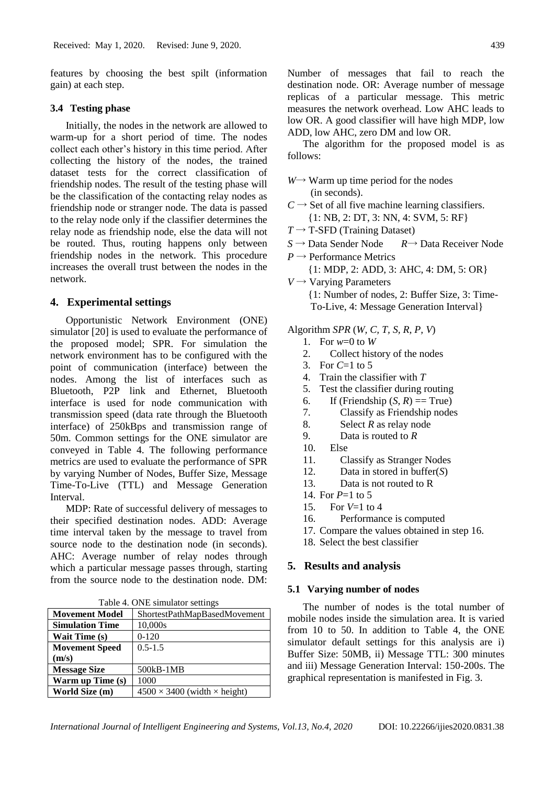features by choosing the best spilt (information gain) at each step.

### **3.4 Testing phase**

Initially, the nodes in the network are allowed to warm-up for a short period of time. The nodes collect each other's history in this time period. After collecting the history of the nodes, the trained dataset tests for the correct classification of friendship nodes. The result of the testing phase will be the classification of the contacting relay nodes as friendship node or stranger node. The data is passed to the relay node only if the classifier determines the relay node as friendship node, else the data will not be routed. Thus, routing happens only between friendship nodes in the network. This procedure increases the overall trust between the nodes in the network.

### **4. Experimental settings**

Opportunistic Network Environment (ONE) simulator [20] is used to evaluate the performance of the proposed model; SPR. For simulation the network environment has to be configured with the point of communication (interface) between the nodes. Among the list of interfaces such as Bluetooth, P2P link and Ethernet, Bluetooth interface is used for node communication with transmission speed (data rate through the Bluetooth interface) of 250kBps and transmission range of 50m. Common settings for the ONE simulator are conveyed in Table 4. The following performance metrics are used to evaluate the performance of SPR by varying Number of Nodes, Buffer Size, Message Time-To-Live (TTL) and Message Generation Interval.

MDP: Rate of successful delivery of messages to their specified destination nodes. ADD: Average time interval taken by the message to travel from source node to the destination node (in seconds). AHC: Average number of relay nodes through which a particular message passes through, starting from the source node to the destination node. DM:

Table 4. ONE simulator settings

| <b>Movement Model</b>  | ShortestPathMapBasedMovement               |
|------------------------|--------------------------------------------|
| <b>Simulation Time</b> | 10,000s                                    |
| <b>Wait Time (s)</b>   | $0-120$                                    |
| <b>Movement Speed</b>  | $0.5 - 1.5$                                |
| (m/s)                  |                                            |
| <b>Message Size</b>    | 500kB-1MB                                  |
| Warm up Time (s)       | 1000                                       |
| World Size (m)         | $4500 \times 3400$ (width $\times$ height) |

Number of messages that fail to reach the destination node. OR: Average number of message replicas of a particular message. This metric measures the network overhead. Low AHC leads to low OR. A good classifier will have high MDP, low ADD, low AHC, zero DM and low OR.

The algorithm for the proposed model is as follows:

- *W*→ Warm up time period for the nodes (in seconds).
- $C \rightarrow$  Set of all five machine learning classifiers. {1: NB, 2: DT, 3: NN, 4: SVM, 5: RF}
- $T \rightarrow T$ -SFD (Training Dataset)
- *S* → Data Sender Node *R*→ Data Receiver Node
- $P \rightarrow$  Performance Metrics {1: MDP, 2: ADD, 3: AHC, 4: DM, 5: OR}
- $V \rightarrow$  Varying Parameters {1: Number of nodes, 2: Buffer Size, 3: Time- To-Live, 4: Message Generation Interval}

Algorithm *SPR* (*W, C, T, S, R, P, V*)

- 1. For *w*=0 to *W*
- 2. Collect history of the nodes
- 3. For *C*=1 to 5
- 4. Train the classifier with *T*
- 5. Test the classifier during routing
- 6. If (Friendship  $(S, R) == True$ )
- 7. Classify as Friendship nodes
- 8. Select *R* as relay node
- 9. Data is routed to *R*
- 10. Else
- 11. Classify as Stranger Nodes
- 12. Data in stored in buffer(*S*)
- 13. Data is not routed to R
- 14. For *P*=1 to 5
- 15. For *V*=1 to 4
- 16. Performance is computed
- 17. Compare the values obtained in step 16.
- 18. Select the best classifier

### **5. Results and analysis**

#### **5.1 Varying number of nodes**

The number of nodes is the total number of mobile nodes inside the simulation area. It is varied from 10 to 50. In addition to Table 4, the ONE simulator default settings for this analysis are i) Buffer Size: 50MB, ii) Message TTL: 300 minutes and iii) Message Generation Interval: 150-200s. The graphical representation is manifested in Fig. 3.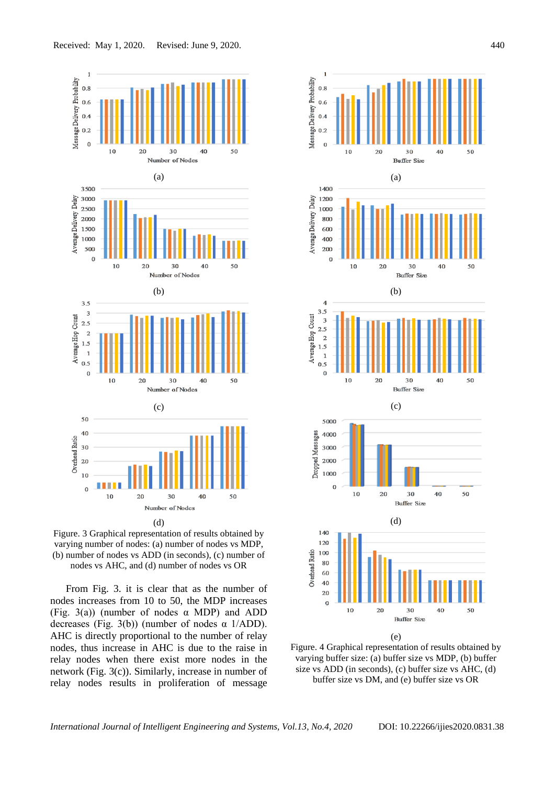

Figure. 3 Graphical representation of results obtained by varying number of nodes: (a) number of nodes vs MDP, (b) number of nodes vs ADD (in seconds), (c) number of nodes vs AHC, and (d) number of nodes vs OR

From Fig. 3. it is clear that as the number of nodes increases from 10 to 50, the MDP increases (Fig. 3(a)) (number of nodes  $\alpha$  MDP) and ADD decreases (Fig. 3(b)) (number of nodes  $\alpha$  1/ADD). AHC is directly proportional to the number of relay nodes, thus increase in AHC is due to the raise in relay nodes when there exist more nodes in the network (Fig. 3(c)). Similarly, increase in number of relay nodes results in proliferation of message



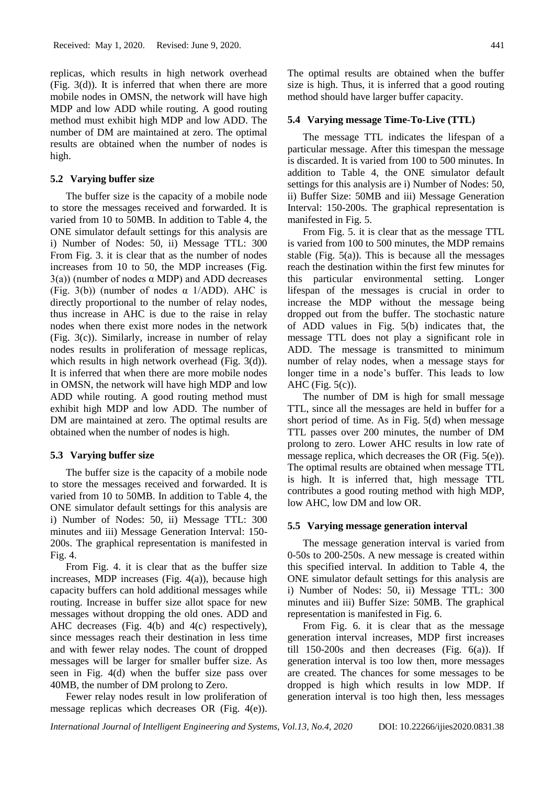replicas, which results in high network overhead (Fig. 3(d)). It is inferred that when there are more mobile nodes in OMSN, the network will have high MDP and low ADD while routing. A good routing method must exhibit high MDP and low ADD. The number of DM are maintained at zero. The optimal results are obtained when the number of nodes is high.

#### **5.2 Varying buffer size**

The buffer size is the capacity of a mobile node to store the messages received and forwarded. It is varied from 10 to 50MB. In addition to Table 4, the ONE simulator default settings for this analysis are i) Number of Nodes: 50, ii) Message TTL: 300 From Fig. 3. it is clear that as the number of nodes increases from 10 to 50, the MDP increases (Fig.  $3(a)$ ) (number of nodes  $\alpha$  MDP) and ADD decreases (Fig. 3(b)) (number of nodes  $\alpha$  1/ADD). AHC is directly proportional to the number of relay nodes, thus increase in AHC is due to the raise in relay nodes when there exist more nodes in the network (Fig. 3(c)). Similarly, increase in number of relay nodes results in proliferation of message replicas, which results in high network overhead (Fig. 3(d)). It is inferred that when there are more mobile nodes in OMSN, the network will have high MDP and low ADD while routing. A good routing method must exhibit high MDP and low ADD. The number of DM are maintained at zero. The optimal results are obtained when the number of nodes is high.

# **5.3 Varying buffer size**

The buffer size is the capacity of a mobile node to store the messages received and forwarded. It is varied from 10 to 50MB. In addition to Table 4, the ONE simulator default settings for this analysis are i) Number of Nodes: 50, ii) Message TTL: 300 minutes and iii) Message Generation Interval: 150- 200s. The graphical representation is manifested in Fig. 4.

From Fig. 4. it is clear that as the buffer size increases, MDP increases (Fig. 4(a)), because high capacity buffers can hold additional messages while routing. Increase in buffer size allot space for new messages without dropping the old ones. ADD and AHC decreases (Fig. 4(b) and 4(c) respectively), since messages reach their destination in less time and with fewer relay nodes. The count of dropped messages will be larger for smaller buffer size. As seen in Fig. 4(d) when the buffer size pass over 40MB, the number of DM prolong to Zero.

Fewer relay nodes result in low proliferation of message replicas which decreases OR (Fig. 4(e)).

The optimal results are obtained when the buffer size is high. Thus, it is inferred that a good routing method should have larger buffer capacity.

#### **5.4 Varying message Time-To-Live (TTL)**

The message TTL indicates the lifespan of a particular message. After this timespan the message is discarded. It is varied from 100 to 500 minutes. In addition to Table 4, the ONE simulator default settings for this analysis are i) Number of Nodes: 50, ii) Buffer Size: 50MB and iii) Message Generation Interval: 150-200s. The graphical representation is manifested in Fig. 5.

From Fig. 5. it is clear that as the message TTL is varied from 100 to 500 minutes, the MDP remains stable (Fig.  $5(a)$ ). This is because all the messages reach the destination within the first few minutes for this particular environmental setting. Longer lifespan of the messages is crucial in order to increase the MDP without the message being dropped out from the buffer. The stochastic nature of ADD values in Fig. 5(b) indicates that, the message TTL does not play a significant role in ADD. The message is transmitted to minimum number of relay nodes, when a message stays for longer time in a node's buffer. This leads to low AHC (Fig. 5(c)).

The number of DM is high for small message TTL, since all the messages are held in buffer for a short period of time. As in Fig. 5(d) when message TTL passes over 200 minutes, the number of DM prolong to zero. Lower AHC results in low rate of message replica, which decreases the OR (Fig. 5(e)). The optimal results are obtained when message TTL is high. It is inferred that, high message TTL contributes a good routing method with high MDP, low AHC, low DM and low OR.

### **5.5 Varying message generation interval**

The message generation interval is varied from 0-50s to 200-250s. A new message is created within this specified interval. In addition to Table 4, the ONE simulator default settings for this analysis are i) Number of Nodes: 50, ii) Message TTL: 300 minutes and iii) Buffer Size: 50MB. The graphical representation is manifested in Fig. 6.

From Fig. 6. it is clear that as the message generation interval increases, MDP first increases till  $150-200s$  and then decreases (Fig.  $6(a)$ ). If generation interval is too low then, more messages are created. The chances for some messages to be dropped is high which results in low MDP. If generation interval is too high then, less messages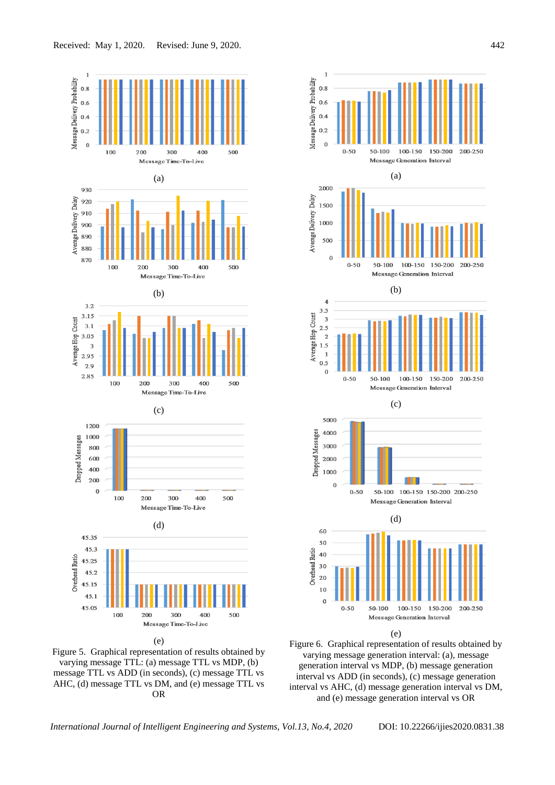





Figure 6. Graphical representation of results obtained by varying message generation interval: (a), message generation interval vs MDP, (b) message generation interval vs ADD (in seconds), (c) message generation interval vs AHC, (d) message generation interval vs DM, and (e) message generation interval vs OR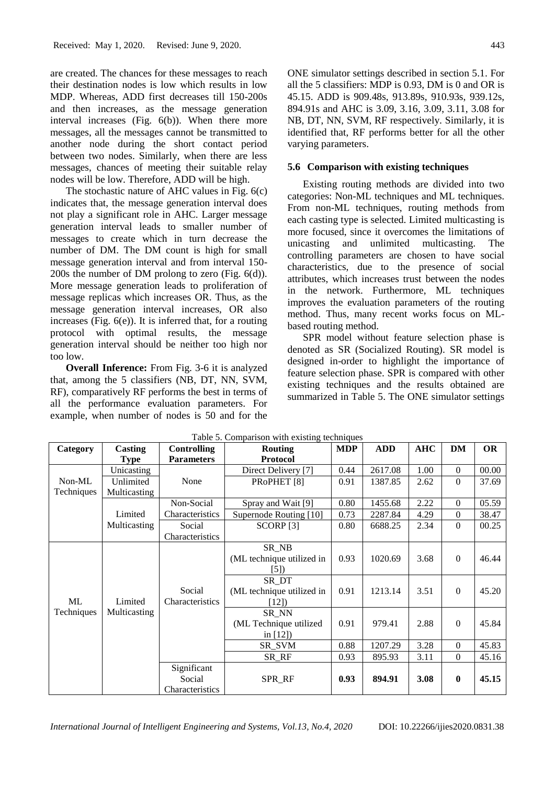are created. The chances for these messages to reach their destination nodes is low which results in low MDP. Whereas, ADD first decreases till 150-200s and then increases, as the message generation interval increases (Fig. 6(b)). When there more messages, all the messages cannot be transmitted to another node during the short contact period between two nodes. Similarly, when there are less messages, chances of meeting their suitable relay nodes will be low. Therefore, ADD will be high.

The stochastic nature of AHC values in Fig. 6(c) indicates that, the message generation interval does not play a significant role in AHC. Larger message generation interval leads to smaller number of messages to create which in turn decrease the number of DM. The DM count is high for small message generation interval and from interval 150- 200s the number of DM prolong to zero (Fig. 6(d)). More message generation leads to proliferation of message replicas which increases OR. Thus, as the message generation interval increases, OR also increases (Fig. 6(e)). It is inferred that, for a routing protocol with optimal results, the message generation interval should be neither too high nor too low.

**Overall Inference:** From Fig. 3-6 it is analyzed that, among the 5 classifiers (NB, DT, NN, SVM, RF), comparatively RF performs the best in terms of all the performance evaluation parameters. For example, when number of nodes is 50 and for the ONE simulator settings described in section 5.1. For all the 5 classifiers: MDP is 0.93, DM is 0 and OR is 45.15. ADD is 909.48s, 913.89s, 910.93s, 939.12s, 894.91s and AHC is 3.09, 3.16, 3.09, 3.11, 3.08 for NB, DT, NN, SVM, RF respectively. Similarly, it is identified that, RF performs better for all the other varying parameters.

### **5.6 Comparison with existing techniques**

Existing routing methods are divided into two categories: Non-ML techniques and ML techniques. From non-ML techniques, routing methods from each casting type is selected. Limited multicasting is more focused, since it overcomes the limitations of unicasting and unlimited multicasting. The controlling parameters are chosen to have social characteristics, due to the presence of social attributes, which increases trust between the nodes in the network. Furthermore, ML techniques improves the evaluation parameters of the routing method. Thus, many recent works focus on MLbased routing method.

SPR model without feature selection phase is denoted as SR (Socialized Routing). SR model is designed in-order to highlight the importance of feature selection phase. SPR is compared with other existing techniques and the results obtained are summarized in Table 5. The ONE simulator settings

| Category   | <b>Casting</b> | <b>Controlling</b> | <b>Routing</b>            | <b>MDP</b> | <b>ADD</b> | <b>AHC</b> | <b>DM</b>      | <b>OR</b> |
|------------|----------------|--------------------|---------------------------|------------|------------|------------|----------------|-----------|
|            | <b>Type</b>    | <b>Parameters</b>  | <b>Protocol</b>           |            |            |            |                |           |
|            | Unicasting     |                    | Direct Delivery [7]       | 0.44       | 2617.08    | 1.00       | $\Omega$       | 00.00     |
| Non-ML     | Unlimited      | None               | PRoPHET <sup>[8]</sup>    | 0.91       | 1387.85    | 2.62       | $\Omega$       | 37.69     |
| Techniques | Multicasting   |                    |                           |            |            |            |                |           |
|            |                | Non-Social         | Spray and Wait [9]        | 0.80       | 1455.68    | 2.22       | $\overline{0}$ | 05.59     |
|            | Limited        | Characteristics    | Supernode Routing [10]    | 0.73       | 2287.84    | 4.29       | $\Omega$       | 38.47     |
|            | Multicasting   | Social             | SCORP <sub>[3]</sub>      | 0.80       | 6688.25    | 2.34       | $\Omega$       | 00.25     |
|            |                | Characteristics    |                           |            |            |            |                |           |
|            |                |                    | SR_NB                     |            |            |            |                |           |
|            |                |                    | (ML technique utilized in | 0.93       | 1020.69    | 3.68       | $\Omega$       | 46.44     |
|            |                |                    | [5]                       |            |            |            |                |           |
|            |                |                    | SR DT                     |            |            |            |                |           |
|            |                | Social             | (ML technique utilized in | 0.91       | 1213.14    | 3.51       | $\Omega$       | 45.20     |
| ML         | Limited        | Characteristics    | [12]                      |            |            |            |                |           |
| Techniques | Multicasting   |                    | SR NN                     |            |            |            |                |           |
|            |                |                    | (ML Technique utilized    | 0.91       | 979.41     | 2.88       | $\mathbf{0}$   | 45.84     |
|            |                |                    | in $[12]$                 |            |            |            |                |           |
|            |                |                    | SR SVM                    | 0.88       | 1207.29    | 3.28       | $\Omega$       | 45.83     |
|            |                |                    | SR_RF                     | 0.93       | 895.93     | 3.11       | $\mathbf{0}$   | 45.16     |
|            |                | Significant        |                           |            |            |            |                |           |
|            |                | Social             | SPR_RF                    | 0.93       | 894.91     | 3.08       | $\bf{0}$       | 45.15     |
|            |                | Characteristics    |                           |            |            |            |                |           |

Table 5. Comparison with existing techniques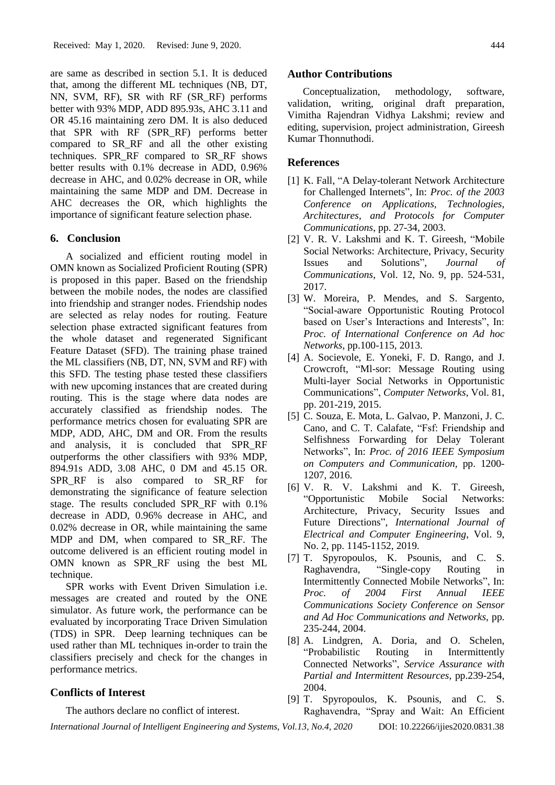are same as described in section 5.1. It is deduced that, among the different ML techniques (NB, DT, NN, SVM, RF), SR with RF (SR\_RF) performs better with 93% MDP, ADD 895.93s, AHC 3.11 and OR 45.16 maintaining zero DM. It is also deduced that SPR with RF (SPR\_RF) performs better compared to SR\_RF and all the other existing techniques. SPR\_RF compared to SR\_RF shows better results with 0.1% decrease in ADD, 0.96% decrease in AHC, and 0.02% decrease in OR, while maintaining the same MDP and DM. Decrease in AHC decreases the OR, which highlights the importance of significant feature selection phase.

### **6. Conclusion**

A socialized and efficient routing model in OMN known as Socialized Proficient Routing (SPR) is proposed in this paper. Based on the friendship between the mobile nodes, the nodes are classified into friendship and stranger nodes. Friendship nodes are selected as relay nodes for routing. Feature selection phase extracted significant features from the whole dataset and regenerated Significant Feature Dataset (SFD). The training phase trained the ML classifiers (NB, DT, NN, SVM and RF) with this SFD. The testing phase tested these classifiers with new upcoming instances that are created during routing. This is the stage where data nodes are accurately classified as friendship nodes. The performance metrics chosen for evaluating SPR are MDP, ADD, AHC, DM and OR. From the results and analysis, it is concluded that SPR\_RF outperforms the other classifiers with 93% MDP, 894.91s ADD, 3.08 AHC, 0 DM and 45.15 OR. SPR\_RF is also compared to SR\_RF for demonstrating the significance of feature selection stage. The results concluded SPR\_RF with 0.1% decrease in ADD, 0.96% decrease in AHC, and 0.02% decrease in OR, while maintaining the same MDP and DM, when compared to SR\_RF. The outcome delivered is an efficient routing model in OMN known as SPR\_RF using the best ML technique.

SPR works with Event Driven Simulation i.e. messages are created and routed by the ONE simulator. As future work, the performance can be evaluated by incorporating Trace Driven Simulation (TDS) in SPR. Deep learning techniques can be used rather than ML techniques in-order to train the classifiers precisely and check for the changes in performance metrics.

# **Conflicts of Interest**

The authors declare no conflict of interest.

#### **Author Contributions**

Conceptualization, methodology, software, validation, writing, original draft preparation, Vimitha Rajendran Vidhya Lakshmi; review and editing, supervision, project administration, Gireesh Kumar Thonnuthodi.

# **References**

- [1] K. Fall, "A Delay-tolerant Network Architecture for Challenged Internets", In: *Proc. of the 2003 Conference on Applications, Technologies, Architectures, and Protocols for Computer Communications*, pp. 27-34, 2003.
- [2] V. R. V. Lakshmi and K. T. Gireesh, "Mobile Social Networks: Architecture, Privacy, Security Issues and Solutions", *Journal of Communications*, Vol. 12, No. 9, pp. 524-531, 2017.
- [3] W. Moreira, P. Mendes, and S. Sargento, "Social-aware Opportunistic Routing Protocol based on User's Interactions and Interests", In: *Proc. of International Conference on Ad hoc Networks*, pp.100-115, 2013.
- [4] A. Socievole, E. Yoneki, F. D. Rango, and J. Crowcroft, "Ml-sor: Message Routing using Multi-layer Social Networks in Opportunistic Communications", *Computer Networks*, Vol. 81, pp. 201-219, 2015.
- [5] C. Souza, E. Mota, L. Galvao, P. Manzoni, J. C. Cano, and C. T. Calafate, "Fsf: Friendship and Selfishness Forwarding for Delay Tolerant Networks", In: *Proc. of 2016 IEEE Symposium on Computers and Communication,* pp. 1200- 1207, 2016.
- [6] V. R. V. Lakshmi and K. T. Gireesh, "Opportunistic Mobile Social Networks: Architecture, Privacy, Security Issues and Future Directions", *International Journal of Electrical and Computer Engineering*, Vol. 9, No. 2, pp. 1145-1152, 2019.
- [7] T. Spyropoulos, K. Psounis, and C. S. Raghavendra, "Single-copy Routing in Intermittently Connected Mobile Networks", In: *Proc. of 2004 First Annual IEEE Communications Society Conference on Sensor and Ad Hoc Communications and Networks,* pp. 235-244, 2004.
- [8] A. Lindgren, A. Doria, and O. Schelen, "Probabilistic Routing in Intermittently Connected Networks", *Service Assurance with Partial and Intermittent Resources*, pp.239-254, 2004.
- [9] T. Spyropoulos, K. Psounis, and C. S. Raghavendra, "Spray and Wait: An Efficient